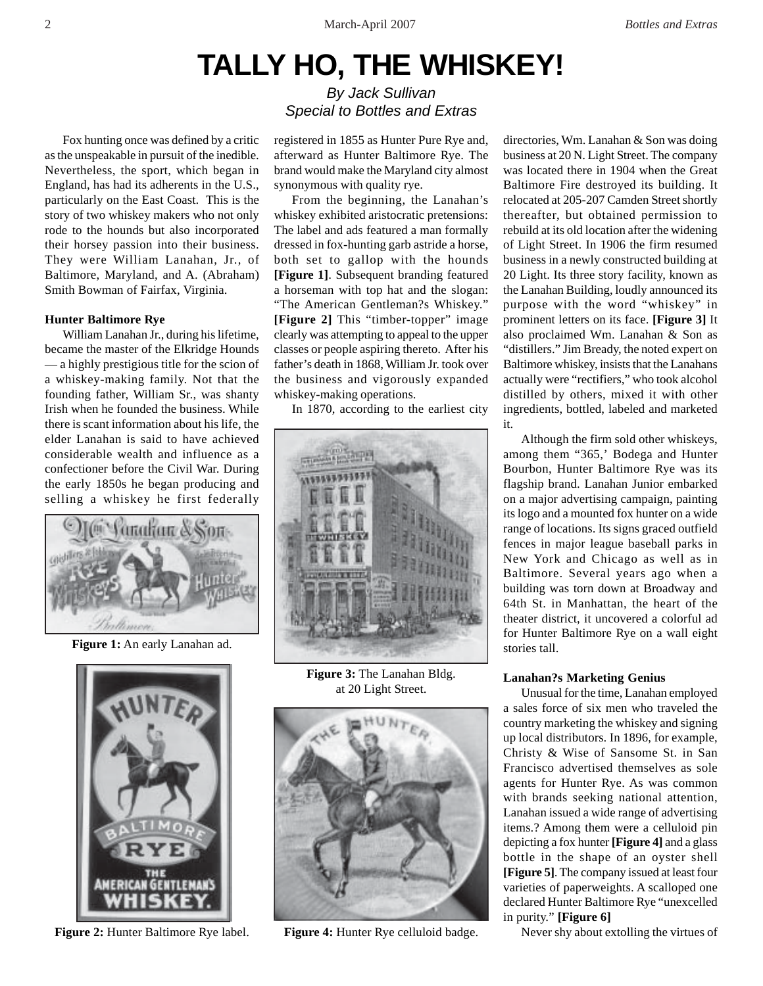# **TALLY HO, THE WHISKEY!**

By Jack Sullivan Special to Bottles and Extras

Fox hunting once was defined by a critic as the unspeakable in pursuit of the inedible. Nevertheless, the sport, which began in England, has had its adherents in the U.S., particularly on the East Coast. This is the story of two whiskey makers who not only rode to the hounds but also incorporated their horsey passion into their business. They were William Lanahan, Jr., of Baltimore, Maryland, and A. (Abraham) Smith Bowman of Fairfax, Virginia.

# **Hunter Baltimore Rye**

William Lanahan Jr., during his lifetime, became the master of the Elkridge Hounds — a highly prestigious title for the scion of a whiskey-making family. Not that the founding father, William Sr., was shanty Irish when he founded the business. While there is scant information about his life, the elder Lanahan is said to have achieved considerable wealth and influence as a confectioner before the Civil War. During the early 1850s he began producing and selling a whiskey he first federally



**Figure 1:** An early Lanahan ad.



**Figure 2:** Hunter Baltimore Rye label.

registered in 1855 as Hunter Pure Rye and, afterward as Hunter Baltimore Rye. The brand would make the Maryland city almost synonymous with quality rye.

From the beginning, the Lanahan's whiskey exhibited aristocratic pretensions: The label and ads featured a man formally dressed in fox-hunting garb astride a horse, both set to gallop with the hounds **[Figure 1]**. Subsequent branding featured a horseman with top hat and the slogan: "The American Gentleman?s Whiskey." **[Figure 2]** This "timber-topper" image clearly was attempting to appeal to the upper classes or people aspiring thereto. After his father's death in 1868, William Jr. took over the business and vigorously expanded whiskey-making operations.

In 1870, according to the earliest city



**Figure 3:** The Lanahan Bldg. at 20 Light Street.



**Figure 4:** Hunter Rye celluloid badge.

directories, Wm. Lanahan & Son was doing business at 20 N. Light Street. The company was located there in 1904 when the Great Baltimore Fire destroyed its building. It relocated at 205-207 Camden Street shortly thereafter, but obtained permission to rebuild at its old location after the widening of Light Street. In 1906 the firm resumed business in a newly constructed building at 20 Light. Its three story facility, known as the Lanahan Building, loudly announced its purpose with the word "whiskey" in prominent letters on its face. **[Figure 3]** It also proclaimed Wm. Lanahan & Son as "distillers." Jim Bready, the noted expert on Baltimore whiskey, insists that the Lanahans actually were "rectifiers," who took alcohol distilled by others, mixed it with other ingredients, bottled, labeled and marketed it.

Although the firm sold other whiskeys, among them "365,' Bodega and Hunter Bourbon, Hunter Baltimore Rye was its flagship brand. Lanahan Junior embarked on a major advertising campaign, painting its logo and a mounted fox hunter on a wide range of locations. Its signs graced outfield fences in major league baseball parks in New York and Chicago as well as in Baltimore. Several years ago when a building was torn down at Broadway and 64th St. in Manhattan, the heart of the theater district, it uncovered a colorful ad for Hunter Baltimore Rye on a wall eight stories tall.

## **Lanahan?s Marketing Genius**

Unusual for the time, Lanahan employed a sales force of six men who traveled the country marketing the whiskey and signing up local distributors. In 1896, for example, Christy & Wise of Sansome St. in San Francisco advertised themselves as sole agents for Hunter Rye. As was common with brands seeking national attention, Lanahan issued a wide range of advertising items.? Among them were a celluloid pin depicting a fox hunter **[Figure 4]** and a glass bottle in the shape of an oyster shell **[Figure 5]**. The company issued at least four varieties of paperweights. A scalloped one declared Hunter Baltimore Rye "unexcelled in purity." **[Figure 6]**

Never shy about extolling the virtues of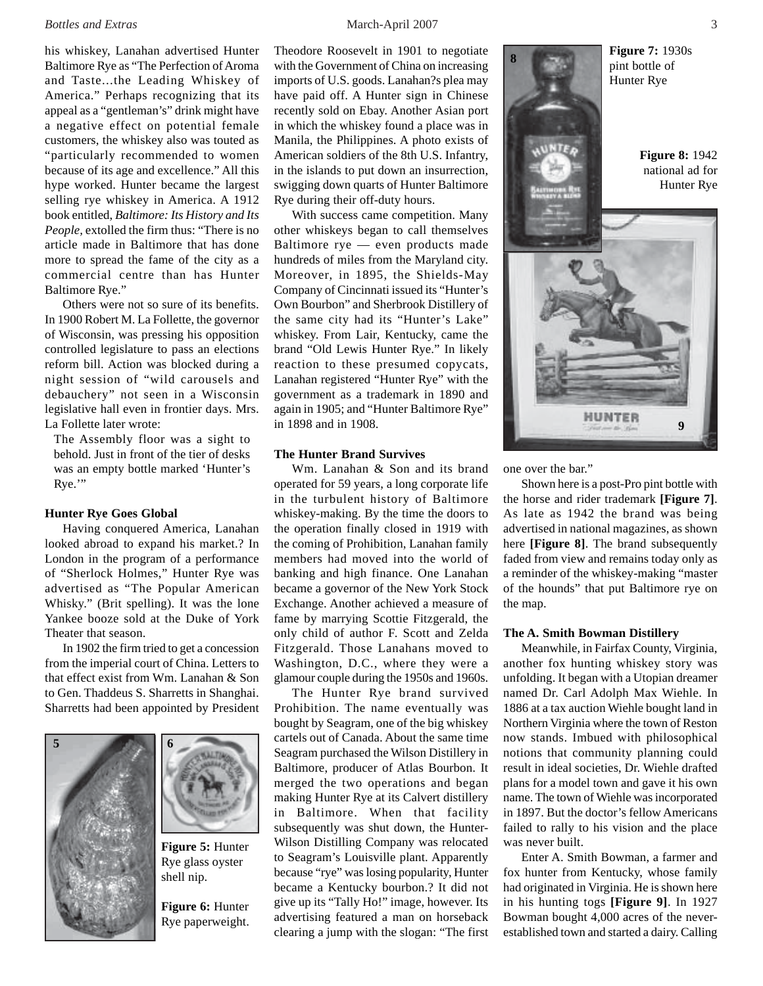### *Bottles and Extras* 3

his whiskey, Lanahan advertised Hunter Baltimore Rye as "The Perfection of Aroma and Taste...the Leading Whiskey of America." Perhaps recognizing that its appeal as a "gentleman's" drink might have a negative effect on potential female customers, the whiskey also was touted as "particularly recommended to women because of its age and excellence." All this hype worked. Hunter became the largest selling rye whiskey in America. A 1912 book entitled, *Baltimore: Its History and Its People,* extolled the firm thus: "There is no article made in Baltimore that has done more to spread the fame of the city as a commercial centre than has Hunter Baltimore Rye."

Others were not so sure of its benefits. In 1900 Robert M. La Follette, the governor of Wisconsin, was pressing his opposition controlled legislature to pass an elections reform bill. Action was blocked during a night session of "wild carousels and debauchery" not seen in a Wisconsin legislative hall even in frontier days. Mrs. La Follette later wrote:

The Assembly floor was a sight to behold. Just in front of the tier of desks was an empty bottle marked 'Hunter's Rye.'"

### **Hunter Rye Goes Global**

Having conquered America, Lanahan looked abroad to expand his market.? In London in the program of a performance of "Sherlock Holmes," Hunter Rye was advertised as "The Popular American Whisky." (Brit spelling). It was the lone Yankee booze sold at the Duke of York Theater that season.

In 1902 the firm tried to get a concession from the imperial court of China. Letters to that effect exist from Wm. Lanahan & Son to Gen. Thaddeus S. Sharretts in Shanghai. Sharretts had been appointed by President





**Figure 5:** Hunter Rye glass oyster shell nip.

**Figure 6:** Hunter Rye paperweight.

Theodore Roosevelt in 1901 to negotiate with the Government of China on increasing imports of U.S. goods. Lanahan?s plea may have paid off. A Hunter sign in Chinese recently sold on Ebay. Another Asian port in which the whiskey found a place was in Manila, the Philippines. A photo exists of American soldiers of the 8th U.S. Infantry, in the islands to put down an insurrection, swigging down quarts of Hunter Baltimore Rye during their off-duty hours.

With success came competition. Many other whiskeys began to call themselves Baltimore rye — even products made hundreds of miles from the Maryland city. Moreover, in 1895, the Shields-May Company of Cincinnati issued its "Hunter's Own Bourbon" and Sherbrook Distillery of the same city had its "Hunter's Lake" whiskey. From Lair, Kentucky, came the brand "Old Lewis Hunter Rye." In likely reaction to these presumed copycats, Lanahan registered "Hunter Rye" with the government as a trademark in 1890 and again in 1905; and "Hunter Baltimore Rye" in 1898 and in 1908.

### **The Hunter Brand Survives**

Wm. Lanahan & Son and its brand operated for 59 years, a long corporate life in the turbulent history of Baltimore whiskey-making. By the time the doors to the operation finally closed in 1919 with the coming of Prohibition, Lanahan family members had moved into the world of banking and high finance. One Lanahan became a governor of the New York Stock Exchange. Another achieved a measure of fame by marrying Scottie Fitzgerald, the only child of author F. Scott and Zelda Fitzgerald. Those Lanahans moved to Washington, D.C., where they were a glamour couple during the 1950s and 1960s.

The Hunter Rye brand survived Prohibition. The name eventually was bought by Seagram, one of the big whiskey cartels out of Canada. About the same time Seagram purchased the Wilson Distillery in Baltimore, producer of Atlas Bourbon. It merged the two operations and began making Hunter Rye at its Calvert distillery in Baltimore. When that facility subsequently was shut down, the Hunter-Wilson Distilling Company was relocated to Seagram's Louisville plant. Apparently because "rye" was losing popularity, Hunter became a Kentucky bourbon.? It did not give up its "Tally Ho!" image, however. Its advertising featured a man on horseback clearing a jump with the slogan: "The first



one over the bar."

Shown here is a post-Pro pint bottle with the horse and rider trademark **[Figure 7]**. As late as 1942 the brand was being advertised in national magazines, as shown here **[Figure 8]**. The brand subsequently faded from view and remains today only as a reminder of the whiskey-making "master of the hounds" that put Baltimore rye on the map.

### **The A. Smith Bowman Distillery**

Meanwhile, in Fairfax County, Virginia, another fox hunting whiskey story was unfolding. It began with a Utopian dreamer named Dr. Carl Adolph Max Wiehle. In 1886 at a tax auction Wiehle bought land in Northern Virginia where the town of Reston now stands. Imbued with philosophical notions that community planning could result in ideal societies, Dr. Wiehle drafted plans for a model town and gave it his own name. The town of Wiehle was incorporated in 1897. But the doctor's fellow Americans failed to rally to his vision and the place was never built.

Enter A. Smith Bowman, a farmer and fox hunter from Kentucky, whose family had originated in Virginia. He is shown here in his hunting togs **[Figure 9]**. In 1927 Bowman bought 4,000 acres of the neverestablished town and started a dairy. Calling